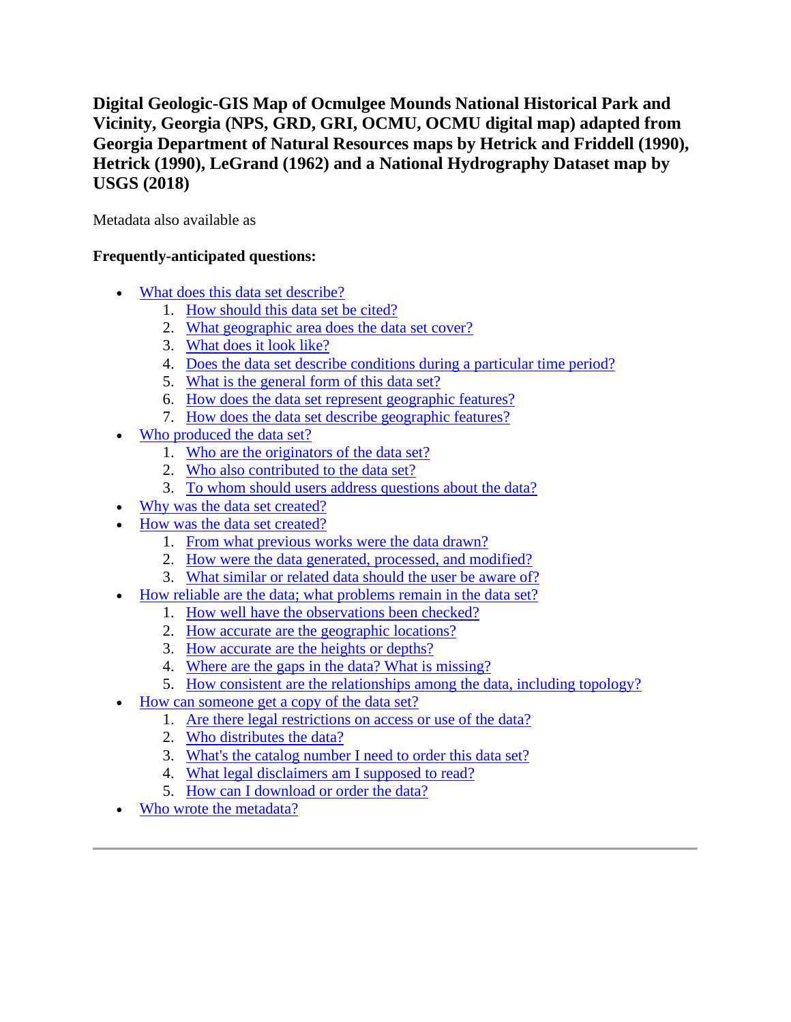# **Digital Geologic-GIS Map of Ocmulgee Mounds National Historical Park and Vicinity, Georgia (NPS, GRD, GRI, OCMU, OCMU digital map) adapted from Georgia Department of Natural Resources maps by Hetrick and Friddell (1990), Hetrick (1990), LeGrand (1962) and a National Hydrography Dataset map by USGS (2018)**

Metadata also available as

# **Frequently-anticipated questions:**

- [What does this data set describe?](#page-0-0)
	- 1. [How should this data set be cited?](#page-2-0)
	- 2. [What geographic area does the data set cover?](#page-2-1)
	- 3. [What does it look like?](#page-2-2)
	- 4. [Does the data set describe conditions during a particular time period?](#page-3-0)
	- 5. [What is the general form of this data set?](#page-3-1)
	- 6. [How does the data set represent geographic features?](#page-3-2)
	- 7. [How does the data set describe geographic features?](#page-3-3)
- [Who produced the data set?](#page-4-0)
	- 1. [Who are the originators of the data set?](#page-4-1)
	- 2. [Who also contributed to the data set?](#page-4-2)
	- 3. [To whom should users address questions about the data?](#page-4-3)
	- [Why was the data](#page-4-4) set created?
- [How was the data set created?](#page-4-5)
	- 1. [From what previous works were the data drawn?](#page-4-6)
	- 2. [How were the data generated, processed, and modified?](#page-6-0)
	- 3. [What similar or related data should the user be aware of?](#page-7-0)
- [How reliable are the data; what problems remain in the data set?](#page-7-1)
	- 1. [How well have the observations been checked?](#page-7-2)
	- 2. [How accurate are the geographic locations?](#page-7-3)
	- 3. [How accurate are the heights or depths?](#page-8-0)
	- 4. [Where are the gaps in the data? What is missing?](#page-8-1)
	- 5. [How consistent are the relationships among the data, including topology?](#page-8-2)
- [How can someone get a copy of the data set?](#page-8-3)
	- 1. [Are there legal restrictions on access or use of the data?](#page-8-4)
	- 2. [Who distributes the data?](#page-8-5)
	- 3. [What's the catalog number I need to order this data set?](#page-9-0)
	- 4. [What legal disclaimers am I supposed to read?](#page-9-1)
	- 5. [How can I download or order the data?](#page-9-2)
- <span id="page-0-0"></span>[Who wrote the metadata?](#page-10-0)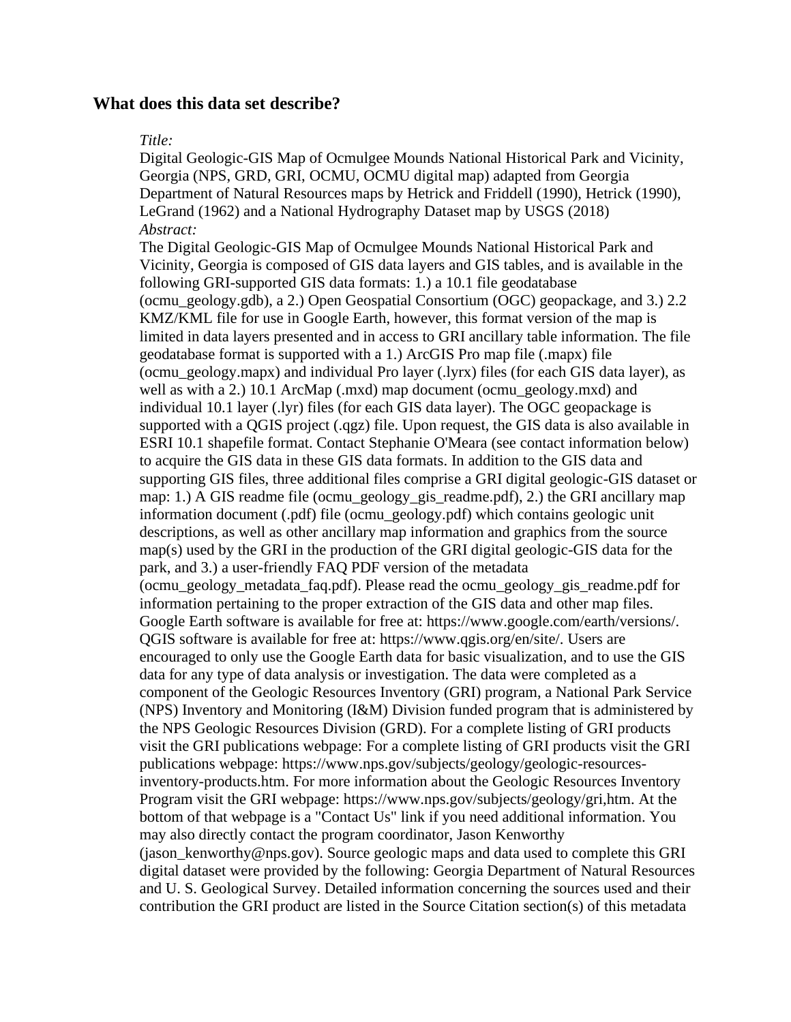#### **What does this data set describe?**

#### *Title:*

Digital Geologic-GIS Map of Ocmulgee Mounds National Historical Park and Vicinity, Georgia (NPS, GRD, GRI, OCMU, OCMU digital map) adapted from Georgia Department of Natural Resources maps by Hetrick and Friddell (1990), Hetrick (1990), LeGrand (1962) and a National Hydrography Dataset map by USGS (2018) *Abstract:*

The Digital Geologic-GIS Map of Ocmulgee Mounds National Historical Park and Vicinity, Georgia is composed of GIS data layers and GIS tables, and is available in the following GRI-supported GIS data formats: 1.) a 10.1 file geodatabase (ocmu\_geology.gdb), a 2.) Open Geospatial Consortium (OGC) geopackage, and 3.) 2.2 KMZ/KML file for use in Google Earth, however, this format version of the map is limited in data layers presented and in access to GRI ancillary table information. The file geodatabase format is supported with a 1.) ArcGIS Pro map file (.mapx) file (ocmu\_geology.mapx) and individual Pro layer (.lyrx) files (for each GIS data layer), as well as with a 2.) 10.1 ArcMap (.mxd) map document (ocmu\_geology.mxd) and individual 10.1 layer (.lyr) files (for each GIS data layer). The OGC geopackage is supported with a QGIS project (.qgz) file. Upon request, the GIS data is also available in ESRI 10.1 shapefile format. Contact Stephanie O'Meara (see contact information below) to acquire the GIS data in these GIS data formats. In addition to the GIS data and supporting GIS files, three additional files comprise a GRI digital geologic-GIS dataset or map: 1.) A GIS readme file (ocmu\_geology\_gis\_readme.pdf), 2.) the GRI ancillary map information document (.pdf) file (ocmu\_geology.pdf) which contains geologic unit descriptions, as well as other ancillary map information and graphics from the source map(s) used by the GRI in the production of the GRI digital geologic-GIS data for the park, and 3.) a user-friendly FAQ PDF version of the metadata (ocmu\_geology\_metadata\_faq.pdf). Please read the ocmu\_geology\_gis\_readme.pdf for information pertaining to the proper extraction of the GIS data and other map files. Google Earth software is available for free at: https://www.google.com/earth/versions/. QGIS software is available for free at: https://www.qgis.org/en/site/. Users are encouraged to only use the Google Earth data for basic visualization, and to use the GIS data for any type of data analysis or investigation. The data were completed as a component of the Geologic Resources Inventory (GRI) program, a National Park Service (NPS) Inventory and Monitoring (I&M) Division funded program that is administered by the NPS Geologic Resources Division (GRD). For a complete listing of GRI products visit the GRI publications webpage: For a complete listing of GRI products visit the GRI publications webpage: https://www.nps.gov/subjects/geology/geologic-resourcesinventory-products.htm. For more information about the Geologic Resources Inventory Program visit the GRI webpage: https://www.nps.gov/subjects/geology/gri,htm. At the bottom of that webpage is a "Contact Us" link if you need additional information. You may also directly contact the program coordinator, Jason Kenworthy (jason kenworthy@nps.gov). Source geologic maps and data used to complete this GRI digital dataset were provided by the following: Georgia Department of Natural Resources and U. S. Geological Survey. Detailed information concerning the sources used and their contribution the GRI product are listed in the Source Citation section(s) of this metadata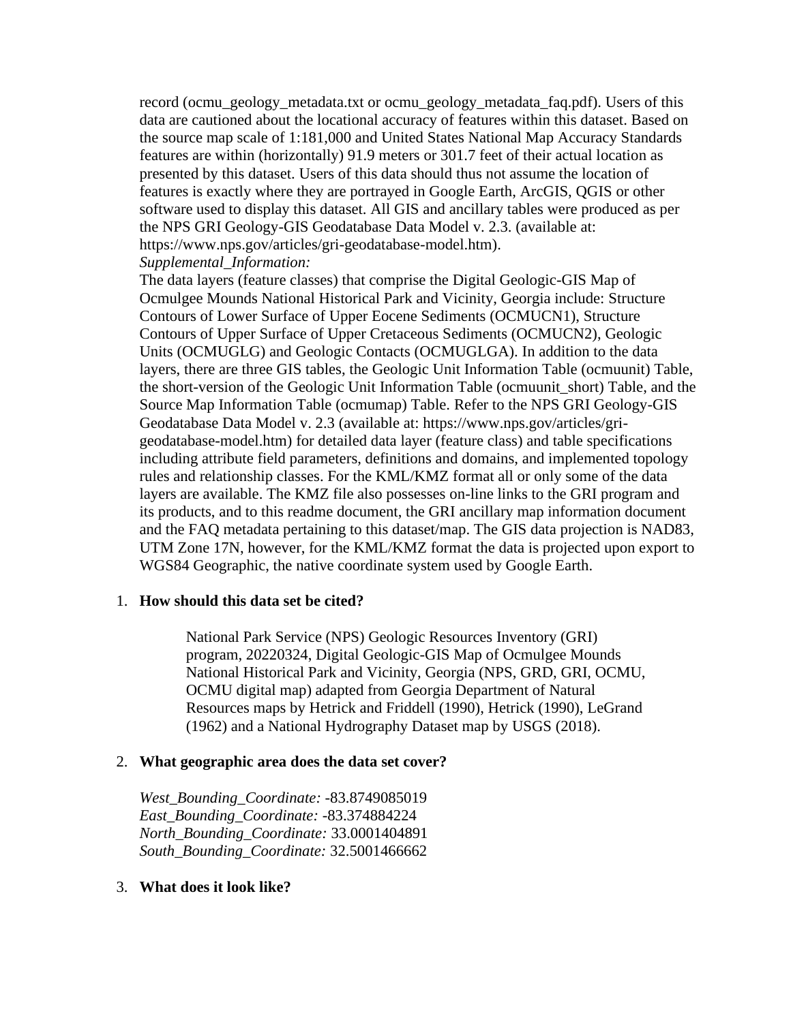record (ocmu\_geology\_metadata.txt or ocmu\_geology\_metadata\_faq.pdf). Users of this data are cautioned about the locational accuracy of features within this dataset. Based on the source map scale of 1:181,000 and United States National Map Accuracy Standards features are within (horizontally) 91.9 meters or 301.7 feet of their actual location as presented by this dataset. Users of this data should thus not assume the location of features is exactly where they are portrayed in Google Earth, ArcGIS, QGIS or other software used to display this dataset. All GIS and ancillary tables were produced as per the NPS GRI Geology-GIS Geodatabase Data Model v. 2.3. (available at: https://www.nps.gov/articles/gri-geodatabase-model.htm). *Supplemental\_Information:*

The data layers (feature classes) that comprise the Digital Geologic-GIS Map of Ocmulgee Mounds National Historical Park and Vicinity, Georgia include: Structure Contours of Lower Surface of Upper Eocene Sediments (OCMUCN1), Structure Contours of Upper Surface of Upper Cretaceous Sediments (OCMUCN2), Geologic Units (OCMUGLG) and Geologic Contacts (OCMUGLGA). In addition to the data layers, there are three GIS tables, the Geologic Unit Information Table (ocmuunit) Table, the short-version of the Geologic Unit Information Table (ocmuunit\_short) Table, and the Source Map Information Table (ocmumap) Table. Refer to the NPS GRI Geology-GIS Geodatabase Data Model v. 2.3 (available at: https://www.nps.gov/articles/grigeodatabase-model.htm) for detailed data layer (feature class) and table specifications including attribute field parameters, definitions and domains, and implemented topology rules and relationship classes. For the KML/KMZ format all or only some of the data layers are available. The KMZ file also possesses on-line links to the GRI program and its products, and to this readme document, the GRI ancillary map information document and the FAQ metadata pertaining to this dataset/map. The GIS data projection is NAD83, UTM Zone 17N, however, for the KML/KMZ format the data is projected upon export to WGS84 Geographic, the native coordinate system used by Google Earth.

### <span id="page-2-0"></span>1. **How should this data set be cited?**

National Park Service (NPS) Geologic Resources Inventory (GRI) program, 20220324, Digital Geologic-GIS Map of Ocmulgee Mounds National Historical Park and Vicinity, Georgia (NPS, GRD, GRI, OCMU, OCMU digital map) adapted from Georgia Department of Natural Resources maps by Hetrick and Friddell (1990), Hetrick (1990), LeGrand (1962) and a National Hydrography Dataset map by USGS (2018).

#### <span id="page-2-1"></span>2. **What geographic area does the data set cover?**

*West\_Bounding\_Coordinate:* -83.8749085019 *East\_Bounding\_Coordinate:* -83.374884224 *North\_Bounding\_Coordinate:* 33.0001404891 *South\_Bounding\_Coordinate:* 32.5001466662

### <span id="page-2-2"></span>3. **What does it look like?**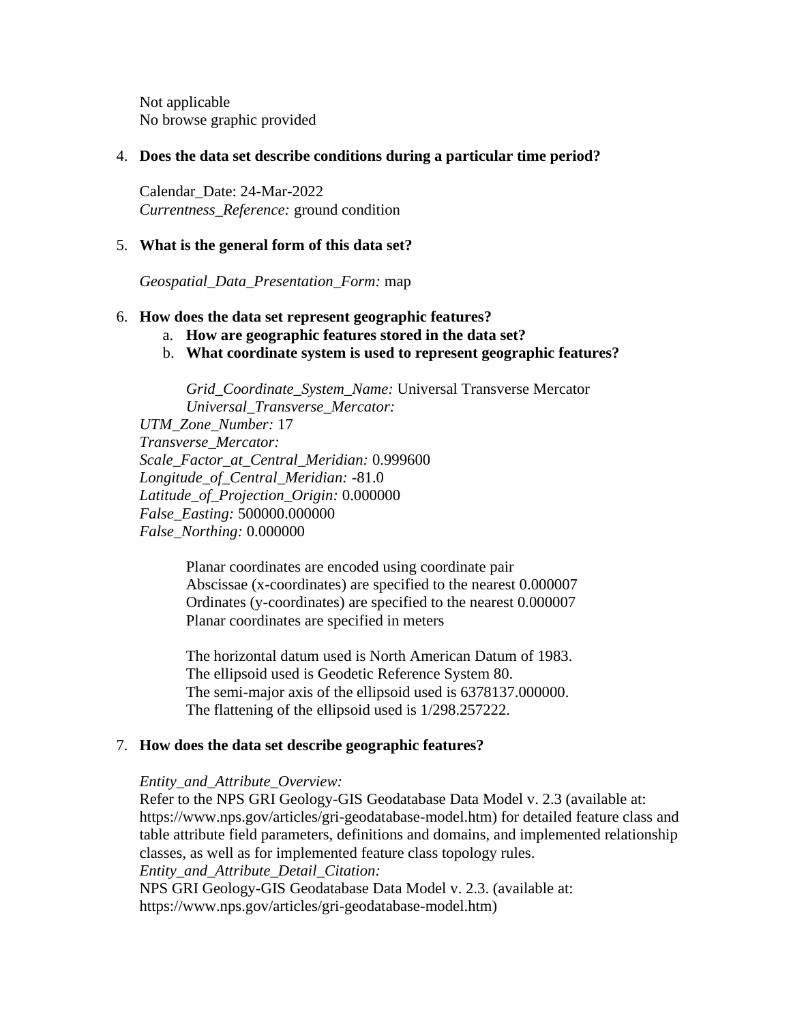Not applicable No browse graphic provided

### <span id="page-3-0"></span>4. **Does the data set describe conditions during a particular time period?**

Calendar\_Date: 24-Mar-2022 *Currentness\_Reference:* ground condition

# <span id="page-3-1"></span>5. **What is the general form of this data set?**

*Geospatial\_Data\_Presentation\_Form:* map

### <span id="page-3-2"></span>6. **How does the data set represent geographic features?**

- a. **How are geographic features stored in the data set?**
- b. **What coordinate system is used to represent geographic features?**

*Grid\_Coordinate\_System\_Name:* Universal Transverse Mercator *Universal\_Transverse\_Mercator:*

*UTM\_Zone\_Number:* 17 *Transverse\_Mercator: Scale\_Factor\_at\_Central\_Meridian:* 0.999600 *Longitude\_of\_Central\_Meridian:* -81.0 *Latitude\_of\_Projection\_Origin:* 0.000000 *False\_Easting:* 500000.000000 *False\_Northing:* 0.000000

> Planar coordinates are encoded using coordinate pair Abscissae (x-coordinates) are specified to the nearest 0.000007 Ordinates (y-coordinates) are specified to the nearest 0.000007 Planar coordinates are specified in meters

> The horizontal datum used is North American Datum of 1983. The ellipsoid used is Geodetic Reference System 80. The semi-major axis of the ellipsoid used is 6378137.000000. The flattening of the ellipsoid used is 1/298.257222.

### <span id="page-3-3"></span>7. **How does the data set describe geographic features?**

### *Entity\_and\_Attribute\_Overview:*

Refer to the NPS GRI Geology-GIS Geodatabase Data Model v. 2.3 (available at: https://www.nps.gov/articles/gri-geodatabase-model.htm) for detailed feature class and table attribute field parameters, definitions and domains, and implemented relationship classes, as well as for implemented feature class topology rules. *Entity\_and\_Attribute\_Detail\_Citation:* NPS GRI Geology-GIS Geodatabase Data Model v. 2.3. (available at: https://www.nps.gov/articles/gri-geodatabase-model.htm)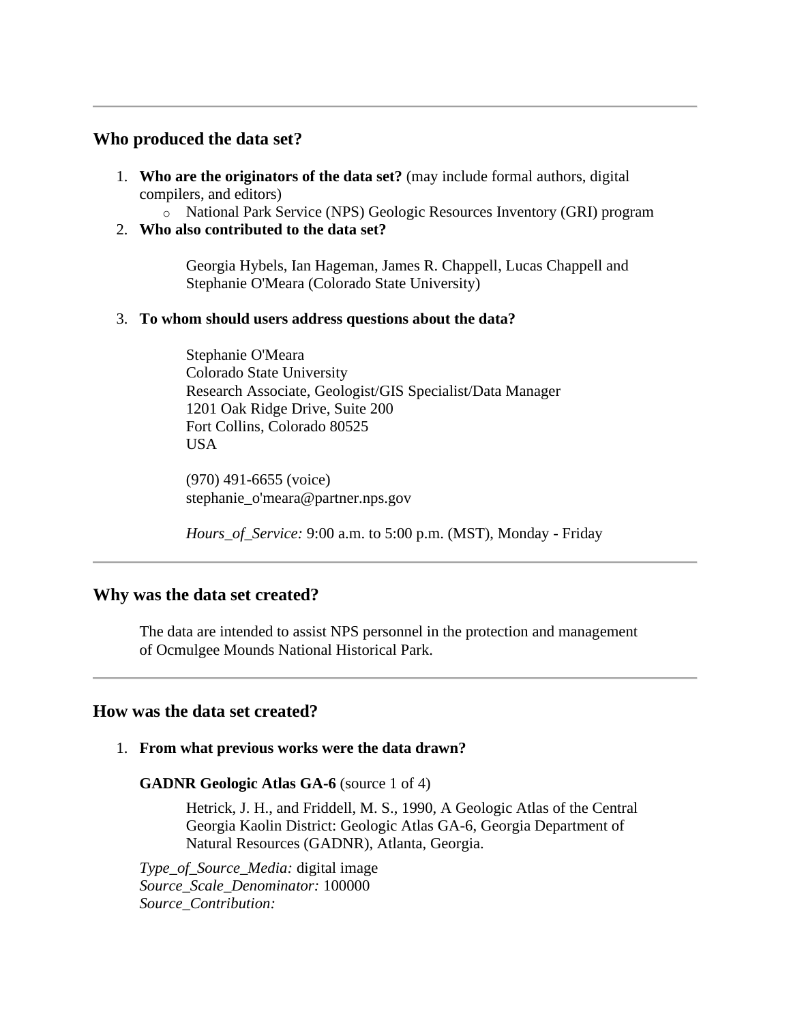# <span id="page-4-0"></span>**Who produced the data set?**

- <span id="page-4-1"></span>1. **Who are the originators of the data set?** (may include formal authors, digital compilers, and editors)
	- o National Park Service (NPS) Geologic Resources Inventory (GRI) program
- <span id="page-4-2"></span>2. **Who also contributed to the data set?**

Georgia Hybels, Ian Hageman, James R. Chappell, Lucas Chappell and Stephanie O'Meara (Colorado State University)

# <span id="page-4-3"></span>3. **To whom should users address questions about the data?**

Stephanie O'Meara Colorado State University Research Associate, Geologist/GIS Specialist/Data Manager 1201 Oak Ridge Drive, Suite 200 Fort Collins, Colorado 80525 USA

(970) 491-6655 (voice) stephanie\_o'meara@partner.nps.gov

*Hours\_of\_Service:* 9:00 a.m. to 5:00 p.m. (MST), Monday - Friday

# <span id="page-4-4"></span>**Why was the data set created?**

The data are intended to assist NPS personnel in the protection and management of Ocmulgee Mounds National Historical Park.

# <span id="page-4-5"></span>**How was the data set created?**

<span id="page-4-6"></span>1. **From what previous works were the data drawn?**

**GADNR Geologic Atlas GA-6** (source 1 of 4)

Hetrick, J. H., and Friddell, M. S., 1990, A Geologic Atlas of the Central Georgia Kaolin District: Geologic Atlas GA-6, Georgia Department of Natural Resources (GADNR), Atlanta, Georgia.

*Type\_of\_Source\_Media:* digital image *Source\_Scale\_Denominator:* 100000 *Source\_Contribution:*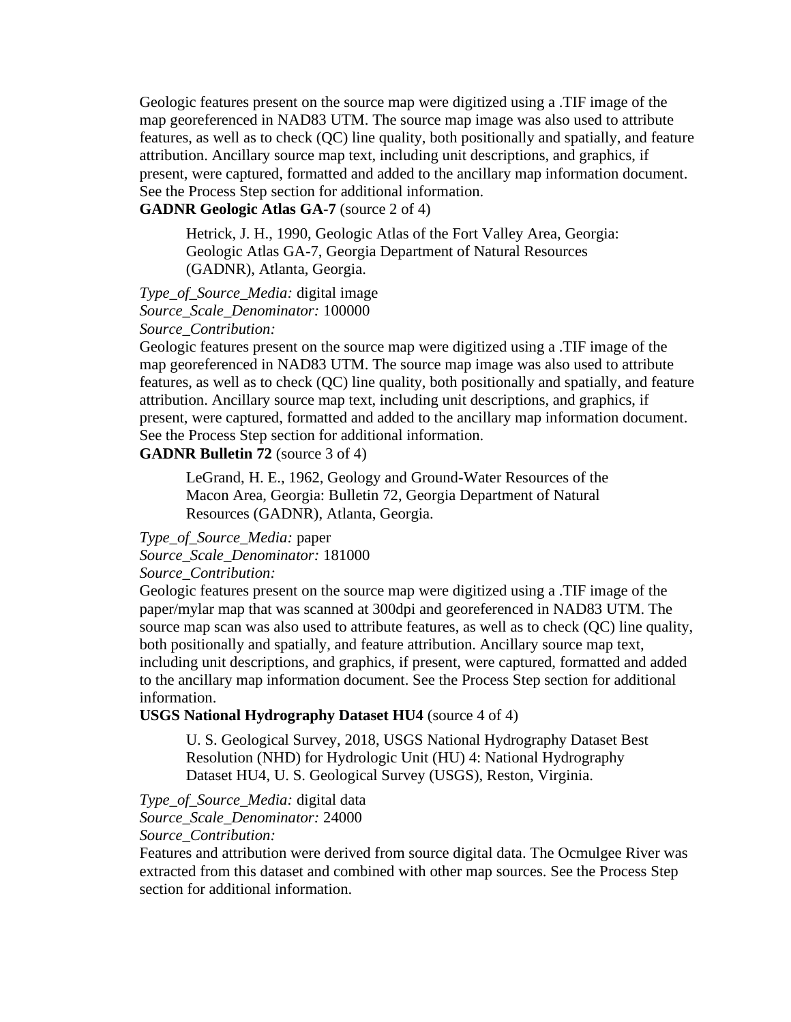Geologic features present on the source map were digitized using a .TIF image of the map georeferenced in NAD83 UTM. The source map image was also used to attribute features, as well as to check (QC) line quality, both positionally and spatially, and feature attribution. Ancillary source map text, including unit descriptions, and graphics, if present, were captured, formatted and added to the ancillary map information document. See the Process Step section for additional information.

# **GADNR Geologic Atlas GA-7** (source 2 of 4)

Hetrick, J. H., 1990, Geologic Atlas of the Fort Valley Area, Georgia: Geologic Atlas GA-7, Georgia Department of Natural Resources (GADNR), Atlanta, Georgia.

#### *Type\_of\_Source\_Media:* digital image *Source\_Scale\_Denominator:* 100000 *Source\_Contribution:*

Geologic features present on the source map were digitized using a .TIF image of the map georeferenced in NAD83 UTM. The source map image was also used to attribute features, as well as to check (QC) line quality, both positionally and spatially, and feature attribution. Ancillary source map text, including unit descriptions, and graphics, if present, were captured, formatted and added to the ancillary map information document. See the Process Step section for additional information.

# **GADNR Bulletin 72** (source 3 of 4)

LeGrand, H. E., 1962, Geology and Ground-Water Resources of the Macon Area, Georgia: Bulletin 72, Georgia Department of Natural Resources (GADNR), Atlanta, Georgia.

*Type\_of\_Source\_Media:* paper

*Source\_Scale\_Denominator:* 181000

### *Source\_Contribution:*

Geologic features present on the source map were digitized using a .TIF image of the paper/mylar map that was scanned at 300dpi and georeferenced in NAD83 UTM. The source map scan was also used to attribute features, as well as to check (QC) line quality, both positionally and spatially, and feature attribution. Ancillary source map text, including unit descriptions, and graphics, if present, were captured, formatted and added to the ancillary map information document. See the Process Step section for additional information.

### **USGS National Hydrography Dataset HU4** (source 4 of 4)

U. S. Geological Survey, 2018, USGS National Hydrography Dataset Best Resolution (NHD) for Hydrologic Unit (HU) 4: National Hydrography Dataset HU4, U. S. Geological Survey (USGS), Reston, Virginia.

*Type\_of\_Source\_Media:* digital data

*Source\_Scale\_Denominator:* 24000

*Source\_Contribution:*

Features and attribution were derived from source digital data. The Ocmulgee River was extracted from this dataset and combined with other map sources. See the Process Step section for additional information.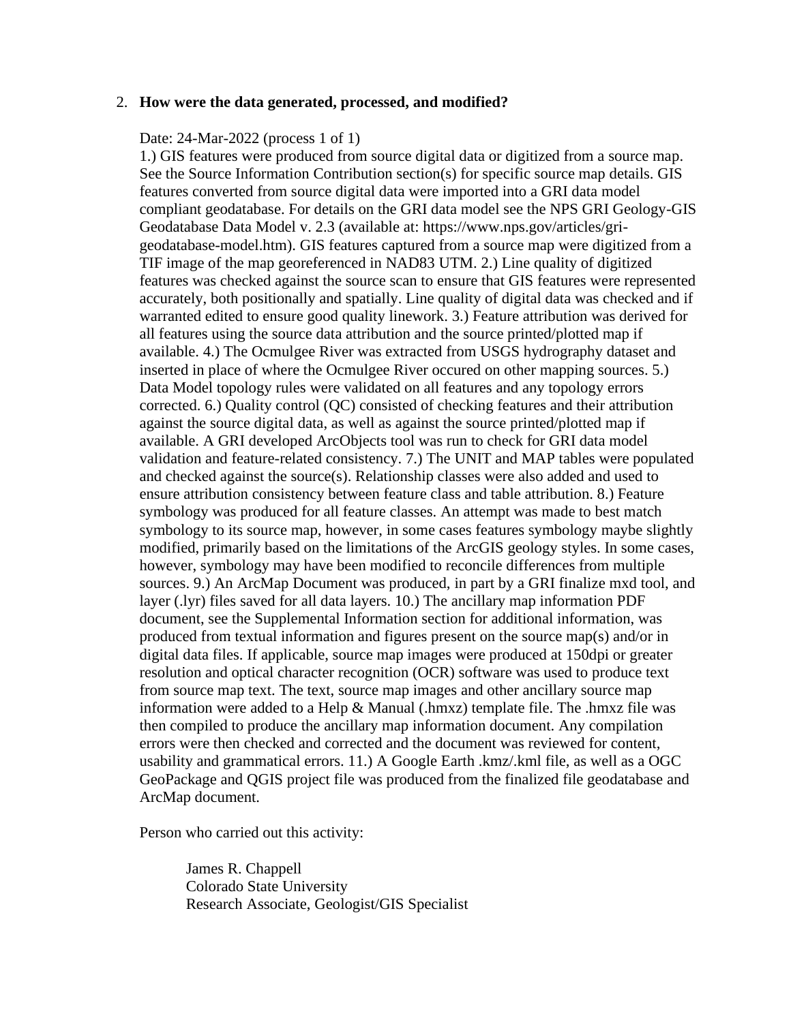#### <span id="page-6-0"></span>2. **How were the data generated, processed, and modified?**

#### Date: 24-Mar-2022 (process 1 of 1)

1.) GIS features were produced from source digital data or digitized from a source map. See the Source Information Contribution section(s) for specific source map details. GIS features converted from source digital data were imported into a GRI data model compliant geodatabase. For details on the GRI data model see the NPS GRI Geology-GIS Geodatabase Data Model v. 2.3 (available at: https://www.nps.gov/articles/grigeodatabase-model.htm). GIS features captured from a source map were digitized from a TIF image of the map georeferenced in NAD83 UTM. 2.) Line quality of digitized features was checked against the source scan to ensure that GIS features were represented accurately, both positionally and spatially. Line quality of digital data was checked and if warranted edited to ensure good quality linework. 3.) Feature attribution was derived for all features using the source data attribution and the source printed/plotted map if available. 4.) The Ocmulgee River was extracted from USGS hydrography dataset and inserted in place of where the Ocmulgee River occured on other mapping sources. 5.) Data Model topology rules were validated on all features and any topology errors corrected. 6.) Quality control (QC) consisted of checking features and their attribution against the source digital data, as well as against the source printed/plotted map if available. A GRI developed ArcObjects tool was run to check for GRI data model validation and feature-related consistency. 7.) The UNIT and MAP tables were populated and checked against the source(s). Relationship classes were also added and used to ensure attribution consistency between feature class and table attribution. 8.) Feature symbology was produced for all feature classes. An attempt was made to best match symbology to its source map, however, in some cases features symbology maybe slightly modified, primarily based on the limitations of the ArcGIS geology styles. In some cases, however, symbology may have been modified to reconcile differences from multiple sources. 9.) An ArcMap Document was produced, in part by a GRI finalize mxd tool, and layer (.lyr) files saved for all data layers. 10.) The ancillary map information PDF document, see the Supplemental Information section for additional information, was produced from textual information and figures present on the source map(s) and/or in digital data files. If applicable, source map images were produced at 150dpi or greater resolution and optical character recognition (OCR) software was used to produce text from source map text. The text, source map images and other ancillary source map information were added to a Help & Manual (.hmxz) template file. The .hmxz file was then compiled to produce the ancillary map information document. Any compilation errors were then checked and corrected and the document was reviewed for content, usability and grammatical errors. 11.) A Google Earth .kmz/.kml file, as well as a OGC GeoPackage and QGIS project file was produced from the finalized file geodatabase and ArcMap document.

Person who carried out this activity:

James R. Chappell Colorado State University Research Associate, Geologist/GIS Specialist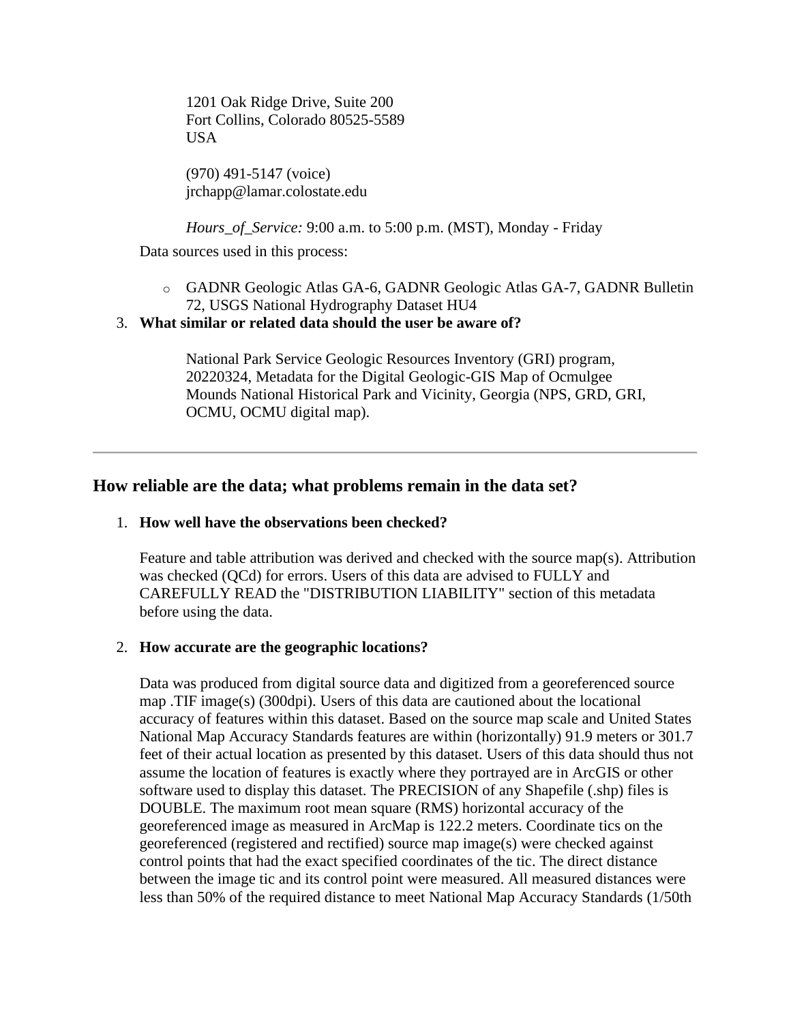1201 Oak Ridge Drive, Suite 200 Fort Collins, Colorado 80525-5589 USA

(970) 491-5147 (voice) jrchapp@lamar.colostate.edu

*Hours\_of\_Service:* 9:00 a.m. to 5:00 p.m. (MST), Monday - Friday

Data sources used in this process:

- o GADNR Geologic Atlas GA-6, GADNR Geologic Atlas GA-7, GADNR Bulletin 72, USGS National Hydrography Dataset HU4
- <span id="page-7-0"></span>3. **What similar or related data should the user be aware of?**

National Park Service Geologic Resources Inventory (GRI) program, 20220324, Metadata for the Digital Geologic-GIS Map of Ocmulgee Mounds National Historical Park and Vicinity, Georgia (NPS, GRD, GRI, OCMU, OCMU digital map).

# <span id="page-7-1"></span>**How reliable are the data; what problems remain in the data set?**

#### <span id="page-7-2"></span>1. **How well have the observations been checked?**

Feature and table attribution was derived and checked with the source map(s). Attribution was checked (QCd) for errors. Users of this data are advised to FULLY and CAREFULLY READ the "DISTRIBUTION LIABILITY" section of this metadata before using the data.

### <span id="page-7-3"></span>2. **How accurate are the geographic locations?**

Data was produced from digital source data and digitized from a georeferenced source map .TIF image(s) (300dpi). Users of this data are cautioned about the locational accuracy of features within this dataset. Based on the source map scale and United States National Map Accuracy Standards features are within (horizontally) 91.9 meters or 301.7 feet of their actual location as presented by this dataset. Users of this data should thus not assume the location of features is exactly where they portrayed are in ArcGIS or other software used to display this dataset. The PRECISION of any Shapefile (.shp) files is DOUBLE. The maximum root mean square (RMS) horizontal accuracy of the georeferenced image as measured in ArcMap is 122.2 meters. Coordinate tics on the georeferenced (registered and rectified) source map image(s) were checked against control points that had the exact specified coordinates of the tic. The direct distance between the image tic and its control point were measured. All measured distances were less than 50% of the required distance to meet National Map Accuracy Standards (1/50th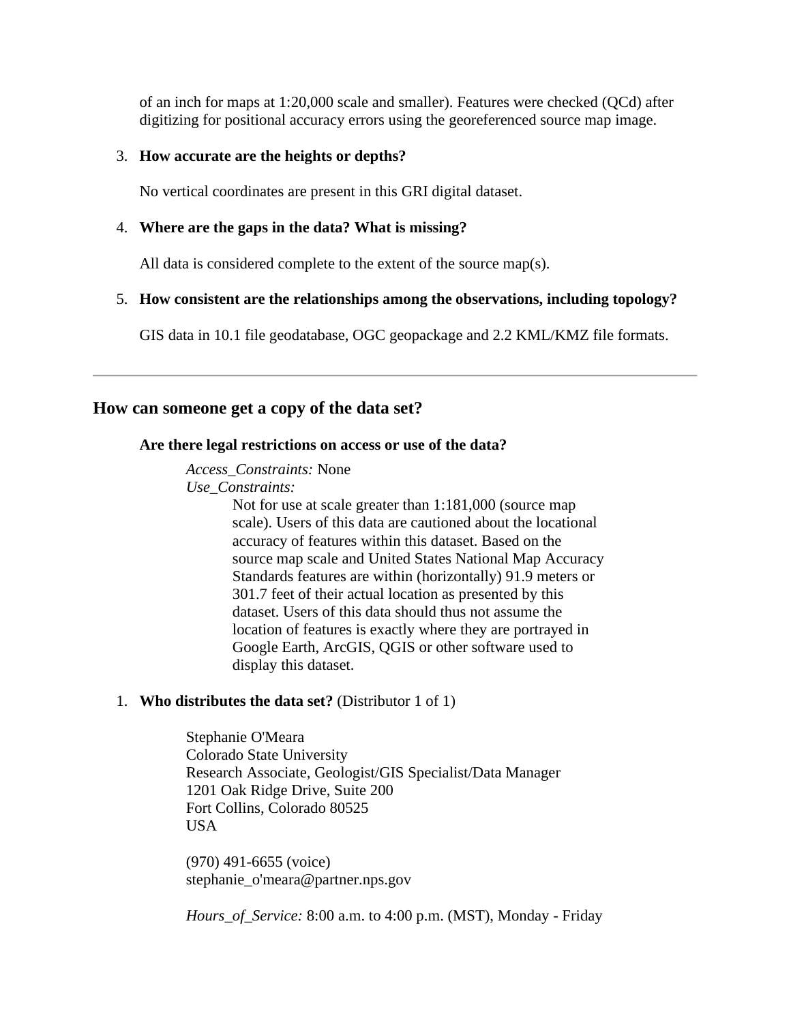of an inch for maps at 1:20,000 scale and smaller). Features were checked (QCd) after digitizing for positional accuracy errors using the georeferenced source map image.

#### <span id="page-8-0"></span>3. **How accurate are the heights or depths?**

No vertical coordinates are present in this GRI digital dataset.

#### <span id="page-8-1"></span>4. **Where are the gaps in the data? What is missing?**

All data is considered complete to the extent of the source map(s).

#### <span id="page-8-2"></span>5. **How consistent are the relationships among the observations, including topology?**

GIS data in 10.1 file geodatabase, OGC geopackage and 2.2 KML/KMZ file formats.

### <span id="page-8-4"></span><span id="page-8-3"></span>**How can someone get a copy of the data set?**

#### **Are there legal restrictions on access or use of the data?**

#### *Access\_Constraints:* None

*Use\_Constraints:*

Not for use at scale greater than 1:181,000 (source map scale). Users of this data are cautioned about the locational accuracy of features within this dataset. Based on the source map scale and United States National Map Accuracy Standards features are within (horizontally) 91.9 meters or 301.7 feet of their actual location as presented by this dataset. Users of this data should thus not assume the location of features is exactly where they are portrayed in Google Earth, ArcGIS, QGIS or other software used to display this dataset.

### <span id="page-8-5"></span>1. **Who distributes the data set?** (Distributor 1 of 1)

Stephanie O'Meara Colorado State University Research Associate, Geologist/GIS Specialist/Data Manager 1201 Oak Ridge Drive, Suite 200 Fort Collins, Colorado 80525 USA

(970) 491-6655 (voice) stephanie\_o'meara@partner.nps.gov

*Hours\_of\_Service:* 8:00 a.m. to 4:00 p.m. (MST), Monday - Friday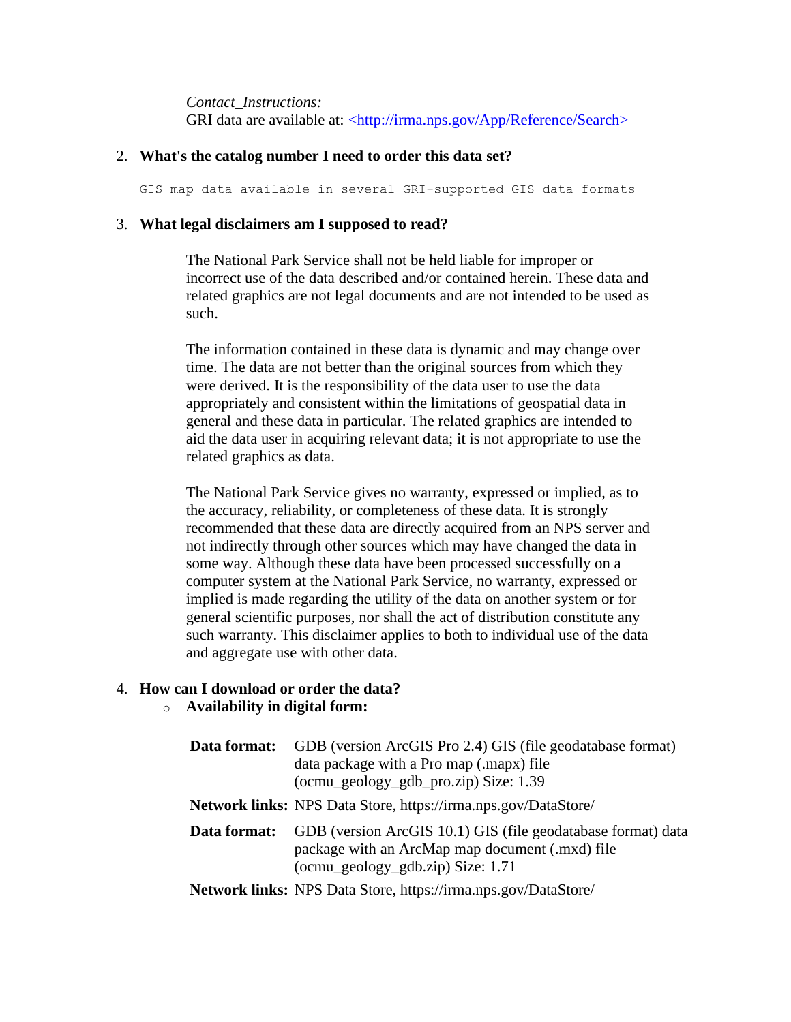*Contact\_Instructions:* GRI data are available at: [<http://irma.nps.gov/App/Reference/Search>](http://irma.nps.gov/App/Reference/Search)

#### <span id="page-9-0"></span>2. **What's the catalog number I need to order this data set?**

GIS map data available in several GRI-supported GIS data formats

#### <span id="page-9-1"></span>3. **What legal disclaimers am I supposed to read?**

The National Park Service shall not be held liable for improper or incorrect use of the data described and/or contained herein. These data and related graphics are not legal documents and are not intended to be used as such.

The information contained in these data is dynamic and may change over time. The data are not better than the original sources from which they were derived. It is the responsibility of the data user to use the data appropriately and consistent within the limitations of geospatial data in general and these data in particular. The related graphics are intended to aid the data user in acquiring relevant data; it is not appropriate to use the related graphics as data.

The National Park Service gives no warranty, expressed or implied, as to the accuracy, reliability, or completeness of these data. It is strongly recommended that these data are directly acquired from an NPS server and not indirectly through other sources which may have changed the data in some way. Although these data have been processed successfully on a computer system at the National Park Service, no warranty, expressed or implied is made regarding the utility of the data on another system or for general scientific purposes, nor shall the act of distribution constitute any such warranty. This disclaimer applies to both to individual use of the data and aggregate use with other data.

### <span id="page-9-2"></span>4. **How can I download or order the data?**

#### o **Availability in digital form:**

| Data format: | GDB (version ArcGIS Pro 2.4) GIS (file geodatabase format)<br>data package with a Pro map (.mapx) file<br>(ocmu_geology_gdb_pro.zip) Size: 1.39         |
|--------------|---------------------------------------------------------------------------------------------------------------------------------------------------------|
|              | <b>Network links:</b> NPS Data Store, https://irma.nps.gov/DataStore/                                                                                   |
| Data format: | GDB (version ArcGIS 10.1) GIS (file geodatabase format) data<br>package with an ArcMap map document (.mxd) file<br>$(ocmu\_geology_gdb.zip) Size: 1.71$ |
|              | <b>Network links:</b> NPS Data Store, https://irma.nps.gov/DataStore/                                                                                   |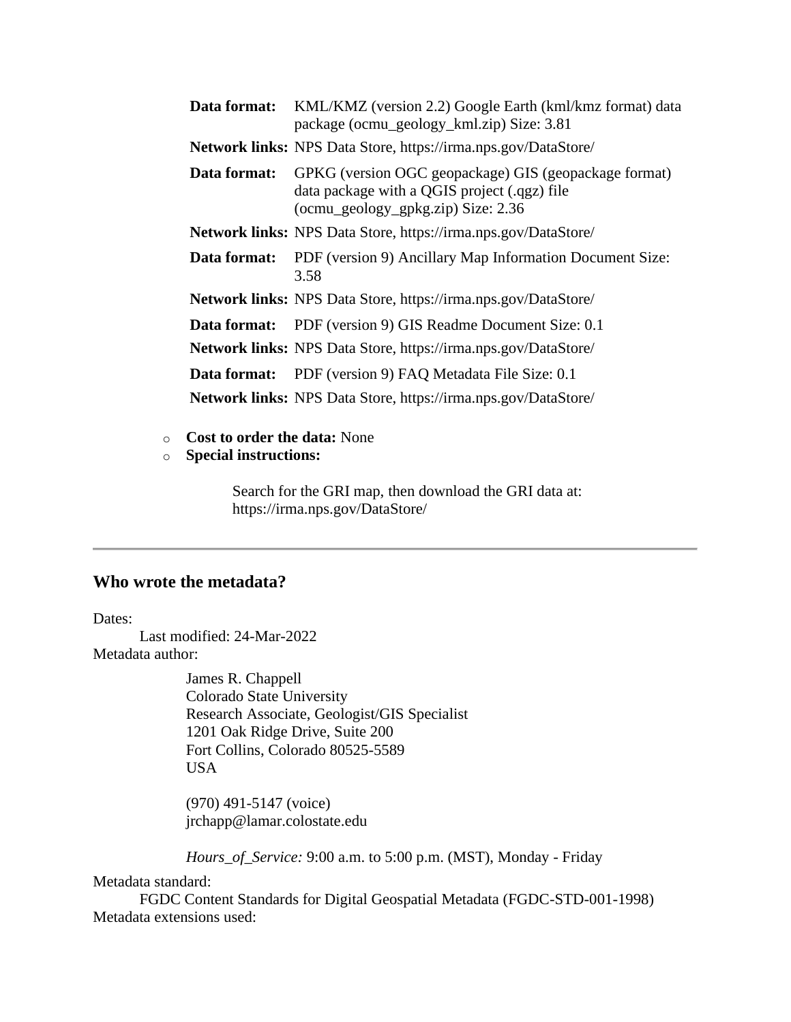| Data format: | KML/KMZ (version 2.2) Google Earth (kml/kmz format) data<br>package (ocmu_geology_kml.zip) Size: 3.81                                       |
|--------------|---------------------------------------------------------------------------------------------------------------------------------------------|
|              | Network links: NPS Data Store, https://irma.nps.gov/DataStore/                                                                              |
| Data format: | GPKG (version OGC geopackage) GIS (geopackage format)<br>data package with a QGIS project (.qgz) file<br>(ocmu_geology_gpkg.zip) Size: 2.36 |
|              | Network links: NPS Data Store, https://irma.nps.gov/DataStore/                                                                              |
| Data format: | PDF (version 9) Ancillary Map Information Document Size:<br>3.58                                                                            |
|              | <b>Network links:</b> NPS Data Store, https://irma.nps.gov/DataStore/                                                                       |
|              | <b>Data format:</b> PDF (version 9) GIS Readme Document Size: 0.1                                                                           |
|              | <b>Network links:</b> NPS Data Store, https://irma.nps.gov/DataStore/                                                                       |
|              | <b>Data format:</b> PDF (version 9) FAQ Metadata File Size: 0.1                                                                             |
|              | <b>Network links:</b> NPS Data Store, https://irma.nps.gov/DataStore/                                                                       |

- o **Cost to order the data:** None
- o **Special instructions:**

Search for the GRI map, then download the GRI data at: https://irma.nps.gov/DataStore/

# <span id="page-10-0"></span>**Who wrote the metadata?**

Dates:

Last modified: 24-Mar-2022 Metadata author:

> James R. Chappell Colorado State University Research Associate, Geologist/GIS Specialist 1201 Oak Ridge Drive, Suite 200 Fort Collins, Colorado 80525-5589 USA

(970) 491-5147 (voice) jrchapp@lamar.colostate.edu

*Hours\_of\_Service:* 9:00 a.m. to 5:00 p.m. (MST), Monday - Friday

Metadata standard:

FGDC Content Standards for Digital Geospatial Metadata (FGDC-STD-001-1998) Metadata extensions used: